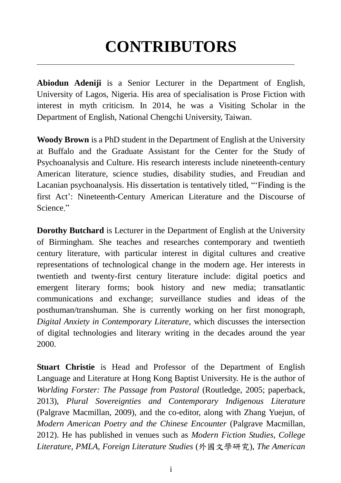## **CONTRIBUTORS**

 $\overline{a}$ 

**Abiodun Adeniji** is a Senior Lecturer in the Department of English, University of Lagos, Nigeria. His area of specialisation is Prose Fiction with interest in myth criticism. In 2014, he was a Visiting Scholar in the Department of English, National Chengchi University, Taiwan.

**Woody Brown** is a PhD student in the Department of English at the University at Buffalo and the Graduate Assistant for the Center for the Study of Psychoanalysis and Culture. His research interests include nineteenth-century American literature, science studies, disability studies, and Freudian and Lacanian psychoanalysis. His dissertation is tentatively titled, "'Finding is the first Act': Nineteenth-Century American Literature and the Discourse of Science."

**Dorothy Butchard** is Lecturer in the Department of English at the University of Birmingham. She teaches and researches contemporary and twentieth century literature, with particular interest in digital cultures and creative representations of technological change in the modern age. Her interests in twentieth and twenty-first century literature include: digital poetics and emergent literary forms; book history and new media; transatlantic communications and exchange; surveillance studies and ideas of the posthuman/transhuman. She is currently working on her first monograph, *Digital Anxiety in Contemporary Literature*, which discusses the intersection of digital technologies and literary writing in the decades around the year 2000.

**Stuart Christie** is Head and Professor of the Department of English Language and Literature at Hong Kong Baptist University. He is the author of *Worlding Forster: The Passage from Pastoral* (Routledge, 2005; paperback, 2013), *Plural Sovereignties and Contemporary Indigenous Literature* (Palgrave Macmillan, 2009), and the co-editor, along with Zhang Yuejun, of *Modern American Poetry and the Chinese Encounter* (Palgrave Macmillan, 2012). He has published in venues such as *Modern Fiction Studies*, *College Literature*, *PMLA*, *Foreign Literature Studies* (外國文學研究), *The American*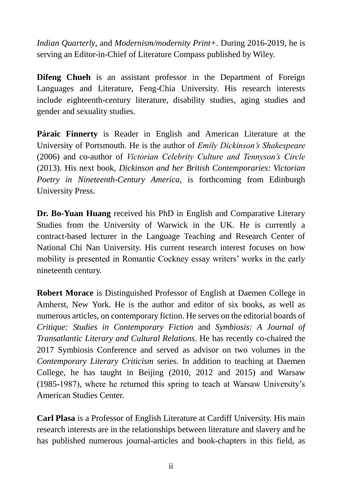*Indian Quarterly*, and *Modernism/modernity Print+*. During 2016-2019, he is serving an Editor-in-Chief of Literature Compass published by Wiley.

**Difeng Chueh** is an assistant professor in the Department of Foreign Languages and Literature, Feng-Chia University. His research interests include eighteenth-century literature, disability studies, aging studies and gender and sexuality studies.

**Páraic Finnerty** is Reader in English and American Literature at the University of Portsmouth. He is the author of *Emily Dickinson's Shakespeare* (2006) and co-author of *Victorian Celebrity Culture and Tennyson's Circle* (2013). His next book, *Dickinson and her British Contemporaries: Victorian Poetry in Nineteenth-Century America*, is forthcoming from Edinburgh University Press.

**Dr. Bo-Yuan Huang** received his PhD in English and Comparative Literary Studies from the University of Warwick in the UK. He is currently a contract-based lecturer in the Language Teaching and Research Center of National Chi Nan University. His current research interest focuses on how mobility is presented in Romantic Cockney essay writers' works in the early nineteenth century.

**Robert Morace** is Distinguished Professor of English at Daemen College in Amherst, New York. He is the author and editor of six books, as well as numerous articles, on contemporary fiction. He serves on the editorial boards of *Critique: Studies in Contemporary Fiction* and *Symbiosis: A Journal of Transatlantic Literary and Cultural Relations*. He has recently co-chaired the 2017 Symbiosis Conference and served as advisor on two volumes in the *Contemporary Literary Criticism* series. In addition to teaching at Daemen College, he has taught in Beijing (2010, 2012 and 2015) and Warsaw (1985-1987), where he returned this spring to teach at Warsaw University's American Studies Center.

**Carl Plasa** is a Professor of English Literature at Cardiff University. His main research interests are in the relationships between literature and slavery and he has published numerous journal-articles and book-chapters in this field, as